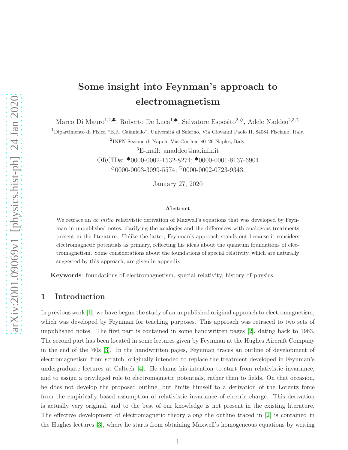# Some insight into Feynman's approach to electromagnetism

Marco Di Mauro<sup>1,2,</sup>•, Roberto De Luca<sup>1,</sup>•, Salvatore Esposito<sup>2, $\diamond$ </sup>, Adele Naddeo<sup>2,3, $\heartsuit$ </sup>

<sup>1</sup> Dipartimento di Fisica "E.R. Caianiello", Universitá di Salerno, Via Giovanni Paolo II, 84084 Fisciano, Italy.

2 INFN Sezione di Napoli, Via Cinthia, 80126 Naples, Italy.

<sup>3</sup>E-mail: anaddeo@na.infn.it

ORCIDs: ♣0000-0002-1532-8274; ♠0000-0001-8137-6904  $\degree$ 0000-0003-3099-5574;  $\degree$ 0000-0002-0723-9343.

January 27, 2020

#### Abstract

We retrace an *ab initio* relativistic derivation of Maxwell's equations that was developed by Feynman in unpublished notes, clarifying the analogies and the differences with analogous treatments present in the literature. Unlike the latter, Feynman's approach stands out because it considers electromagnetic potentials as primary, reflecting his ideas about the quantum foundations of electromagnetism. Some considerations about the foundations of special relativity, which are naturally suggested by this approach, are given in appendix.

Keywords: foundations of electromagnetism, special relativity, history of physics.

# 1 Introduction

In previous work [\[1\]](#page-13-0), we have begun the study of an unpublished original approach to electromagnetism, which was developed by Feynman for teaching purposes. This approach was retraced to two sets of unpublished notes. The first part is contained in some handwritten pages [\[2\]](#page-13-1), dating back to 1963. The second part has been located in some lectures given by Feynman at the Hughes Aircraft Company in the end of the '60s [\[3\]](#page-13-2). In the handwritten pages, Feynman traces an outline of development of electromagnetism from scratch, originally intended to replace the treatment developed in Feynman's undergraduate lectures at Caltech [\[4\]](#page-13-3). He claims his intention to start from relativistic invariance, and to assign a privileged role to electromagnetic potentials, rather than to fields. On that occasion, he does not develop the proposed outline, but limits himself to a derivation of the Lorentz force from the empirically based assumption of relativistic invariance of electric charge. This derivation is actually very original, and to the best of our knowledge is not present in the existing literature. The effective development of electromagnetic theory along the outline traced in [\[2\]](#page-13-1) is contained in the Hughes lectures [\[3\]](#page-13-2), where he starts from obtaining Maxwell's homogeneous equations by writing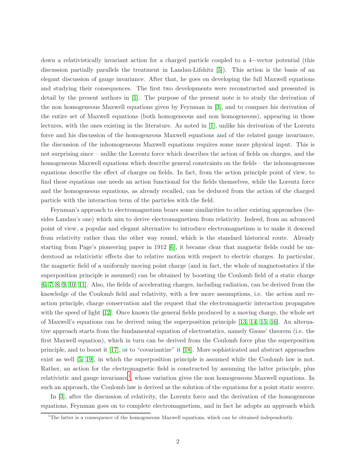down a relativistically invariant action for a charged particle coupled to a 4−vector potential (this discussion partially parallels the treatment in Landau-Lifshitz [\[5\]](#page-13-4)). This action is the basis of an elegant discussion of gauge invariance. After that, he goes on developing the full Maxwell equations and studying their consequences. The first two developments were reconstructed and presented in detail by the present authors in [\[1\]](#page-13-0). The purpose of the present note is to study the derivation of the non homogeneous Maxwell equations given by Feynman in [\[3\]](#page-13-2), and to compare his derivation of the entire set of Maxwell equations (both homogeneous and non homogeneous), appearing in those lectures, with the ones existing in the literature. As noted in [\[1\]](#page-13-0), unlike his derivation of the Lorentz force and his discussion of the homogeneous Maxwell equations and of the related gauge invariance, the discussion of the inhomogeneous Maxwell equations requires some more physical input. This is not surprising since – unlike the Lorentz force which describes the action of fields on charges, and the homogeneous Maxwell equations which describe general constraints on the fields – the inhomogeneous equations describe the effect of charges on fields. In fact, from the action principle point of view, to find these equations one needs an action functional for the fields themselves, while the Lorentz force and the homogeneous equations, as already recalled, can be deduced from the action of the charged particle with the interaction term of the particles with the field.

Feynman's approach to electromagnetism bears some similarities to other existing approaches (besides Landau's one) which aim to derive electromagnetism from relativity. Indeed, from an advanced point of view, a popular and elegant alternative to introduce electromagnetism is to make it descend from relativity rather than the other way round, which is the standard historical route. Already starting from Page's pioneering paper in 1912 [\[6\]](#page-13-5), it became clear that magnetic fields could be understood as relativistic effects due to relative motion with respect to electric charges. In particular, the magnetic field of a uniformly moving point charge (and in fact, the whole of magnetostatics if the superposition principle is assumed) can be obtained by boosting the Coulomb field of a static charge [\[6,](#page-13-5) [7,](#page-13-6) [8,](#page-13-7) [9,](#page-13-8) [10,](#page-14-0) [11\]](#page-14-1). Also, the fields of accelerating charges, including radiation, can be derived from the knowledge of the Coulomb field and relativity, with a few more assumptions, i.e. the action and reaction principle, charge conservation and the request that the electromagnetic interaction propagates with the speed of light [\[12\]](#page-14-2). Once known the general fields produced by a moving charge, the whole set of Maxwell's equations can be derived using the superposition principle [\[13,](#page-14-3) [14,](#page-14-4) [15,](#page-14-5) [16\]](#page-14-6). An alternative approach starts from the fundamental equation of electrostatics, namely Gauss' theorem (i.e. the first Maxwell equation), which in turn can be derived from the Coulomb force plus the superposition principle, and to boost it [\[17\]](#page-14-7), or to "covariantize" it [\[18\]](#page-14-8). More sophisticated and abstract approaches exist as well [\[5,](#page-13-4) [19\]](#page-14-9), in which the superposition principle is assumed while the Coulomb law is not. Rather, an action for the electromagnetic field is constructed by assuming the latter principle, plus relativistic and gauge invariance<sup>[1](#page-1-0)</sup>, whose variation gives the non homogeneous Maxwell equations. In such an approach, the Coulomb law is derived as the solution of the equations for a point static source.

In [\[3\]](#page-13-2), after the discussion of relativity, the Lorentz force and the derivation of the homogeneous equations, Feynman goes on to complete electromagnetism, and in fact he adopts an approach which

<span id="page-1-0"></span><sup>&</sup>lt;sup>1</sup>The latter is a consequence of the homogeneous Maxwell equations, which can be obtained independently.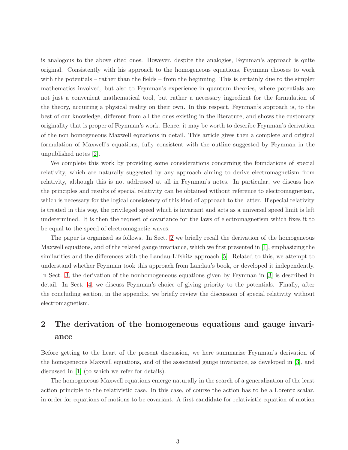is analogous to the above cited ones. However, despite the analogies, Feynman's approach is quite original. Consistently with his approach to the homogeneous equations, Feynman chooses to work with the potentials – rather than the fields – from the beginning. This is certainly due to the simpler mathematics involved, but also to Feynman's experience in quantum theories, where potentials are not just a convenient mathematical tool, but rather a necessary ingredient for the formulation of the theory, acquiring a physical reality on their own. In this respect, Feynman's approach is, to the best of our knowledge, different from all the ones existing in the literature, and shows the customary originality that is proper of Feynman's work. Hence, it may be worth to describe Feynman's derivation of the non homogeneous Maxwell equations in detail. This article gives then a complete and original formulation of Maxwell's equations, fully consistent with the outline suggested by Feynman in the unpublished notes [\[2\]](#page-13-1).

We complete this work by providing some considerations concerning the foundations of special relativity, which are naturally suggested by any approach aiming to derive electromagnetism from relativity, although this is not addressed at all in Feynman's notes. In particular, we discuss how the principles and results of special relativity can be obtained without reference to electromagnetism, which is necessary for the logical consistency of this kind of approach to the latter. If special relativity is treated in this way, the privileged speed which is invariant and acts as a universal speed limit is left undetermined. It is then the request of covariance for the laws of electromagnetism which fixes it to be equal to the speed of electromagnetic waves.

The paper is organized as follows. In Sect. [2](#page-2-0) we briefly recall the derivation of the homogeneous Maxwell equations, and of the related gauge invariance, which we first presented in [\[1\]](#page-13-0), emphasizing the similarities and the differences with the Landau-Lifshitz approach [\[5\]](#page-13-4). Related to this, we attempt to understand whether Feynman took this approach from Landau's book, or developed it independently. In Sect. [3,](#page-5-0) the derivation of the nonhomogeneous equations given by Feynman in [\[3\]](#page-13-2) is described in detail. In Sect. [4,](#page-9-0) we discuss Feynman's choice of giving priority to the potentials. Finally, after the concluding section, in the appendix, we briefly review the discussion of special relativity without electromagnetism.

# <span id="page-2-0"></span>2 The derivation of the homogeneous equations and gauge invariance

Before getting to the heart of the present discussion, we here summarize Feynman's derivation of the homogeneous Maxwell equations, and of the associated gauge invariance, as developed in [\[3\]](#page-13-2), and discussed in [\[1\]](#page-13-0) (to which we refer for details).

The homogeneous Maxwell equations emerge naturally in the search of a generalization of the least action principle to the relativistic case. In this case, of course the action has to be a Lorentz scalar, in order for equations of motions to be covariant. A first candidate for relativistic equation of motion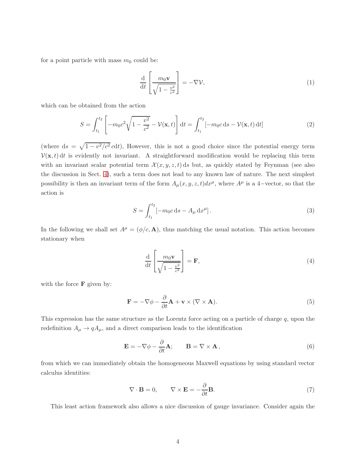for a point particle with mass  $m_0$  could be:

$$
\frac{\mathrm{d}}{\mathrm{d}t} \left[ \frac{m_0 \mathbf{v}}{\sqrt{1 - \frac{v^2}{c^2}}} \right] = -\nabla \mathcal{V},\tag{1}
$$

which can be obtained from the action

$$
S = \int_{t_1}^{t_2} \left[ -m_0 c^2 \sqrt{1 - \frac{v^2}{c^2}} - \mathcal{V}(\mathbf{x}, t) \right] dt = \int_{t_1}^{t_2} \left[ -m_0 c \, ds - \mathcal{V}(\mathbf{x}, t) \, dt \right]
$$
 (2)

(where  $ds = \sqrt{1 - v^2/c^2} \, cdt$ ), However, this is not a good choice since the potential energy term  $\mathcal{V}(\mathbf{x}, t)$  dt is evidently not invariant. A straightforward modification would be replacing this term with an invariant scalar potential term  $\mathcal{X}(x, y, z, t)$  ds but, as quickly stated by Feynman (see also the discussion in Sect. [4\)](#page-9-0), such a term does not lead to any known law of nature. The next simplest possibility is then an invariant term of the form  $A_\mu(x, y, z, t)dx^\mu$ , where  $A^\mu$  is a 4-vector, so that the action is

<span id="page-3-0"></span>
$$
S = \int_{t_1}^{t_2} \left[ -m_0 c \, \mathrm{d}s - A_\mu \, \mathrm{d}x^\mu \right]. \tag{3}
$$

In the following we shall set  $A^{\mu} = (\phi/c, \mathbf{A})$ , thus matching the usual notation. This action becomes stationary when

$$
\frac{\mathrm{d}}{\mathrm{d}t} \left[ \frac{m_0 \mathbf{v}}{\sqrt{1 - \frac{v^2}{c^2}}} \right] = \mathbf{F},\tag{4}
$$

with the force  $\bf{F}$  given by:

<span id="page-3-2"></span>
$$
\mathbf{F} = -\nabla \phi - \frac{\partial}{\partial t} \mathbf{A} + \mathbf{v} \times (\nabla \times \mathbf{A}).
$$
 (5)

This expression has the same structure as the Lorentz force acting on a particle of charge q, upon the redefinition  $A_{\mu} \rightarrow q A_{\mu}$ , and a direct comparison leads to the identification

<span id="page-3-1"></span>
$$
\mathbf{E} = -\nabla \phi - \frac{\partial}{\partial t} \mathbf{A}; \qquad \mathbf{B} = \nabla \times \mathbf{A}, \qquad (6)
$$

from which we can immediately obtain the homogeneous Maxwell equations by using standard vector calculus identities:

$$
\nabla \cdot \mathbf{B} = 0, \qquad \nabla \times \mathbf{E} = -\frac{\partial}{\partial t} \mathbf{B}.
$$
 (7)

This least action framework also allows a nice discussion of gauge invariance. Consider again the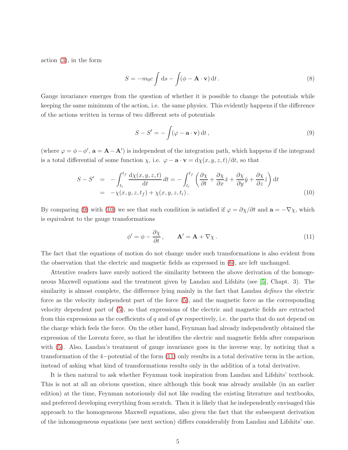action [\(3\)](#page-3-0), in the form

$$
S = -m_0 c \int \mathrm{d}s - \int (\phi - \mathbf{A} \cdot \mathbf{v}) \, \mathrm{d}t \,. \tag{8}
$$

Gauge invariance emerges from the question of whether it is possible to change the potentials while keeping the same minimum of the action, i.e. the same physics. This evidently happens if the difference of the actions written in terms of two different sets of potentials

<span id="page-4-0"></span>
$$
S - S' = -\int (\varphi - \mathbf{a} \cdot \mathbf{v}) dt,
$$
\n(9)

(where  $\varphi = \phi - \phi'$ ,  $\mathbf{a} = \mathbf{A} - \mathbf{A}'$ ) is independent of the integration path, which happens if the integrand is a total differential of some function  $\chi$ , i.e.  $\varphi - \mathbf{a} \cdot \mathbf{v} = d\chi(x, y, z, t)/dt$ , so that

<span id="page-4-1"></span>
$$
S - S' = -\int_{t_i}^{t_f} \frac{d\chi(x, y, z, t)}{dt} dt = -\int_{t_i}^{t_f} \left( \frac{\partial \chi}{\partial t} + \frac{\partial \chi}{\partial x} \dot{x} + \frac{\partial \chi}{\partial y} \dot{y} + \frac{\partial \chi}{\partial z} \dot{z} \right) dt
$$
  
= -\chi(x, y, z, t\_f) + \chi(x, y, z, t\_i). (10)

By comparing [\(9\)](#page-4-0) with [\(10\)](#page-4-1) we see that such condition is satisfied if  $\varphi = \partial \chi / \partial t$  and  $\mathbf{a} = -\nabla \chi$ , which is equivalent to the gauge transformations

<span id="page-4-2"></span>
$$
\phi' = \phi - \frac{\partial \chi}{\partial t}, \qquad \mathbf{A}' = \mathbf{A} + \nabla \chi.
$$
 (11)

The fact that the equations of motion do not change under such transformations is also evident from the observation that the electric and magnetic fields as expressed in [\(6\)](#page-3-1), are left unchanged.

Attentive readers have surely noticed the similarity between the above derivation of the homogeneous Maxwell equations and the treatment given by Landau and Lifshits (see [\[5\]](#page-13-4), Chapt. 3). The similarity is almost complete, the difference lying mainly in the fact that Landau *defines* the electric force as the velocity independent part of the force [\(5\)](#page-3-2), and the magnetic force as the corresponding velocity dependent part of [\(5\)](#page-3-2), so that expressions of the electric and magnetic fields are extracted from this expressions as the coefficients of q and of  $q\mathbf{v}$  respectively, i.e. the parts that do not depend on the charge which feels the force. On the other hand, Feynman had already independently obtained the expression of the Lorentz force, so that he identifies the electric and magnetic fields after comparison with  $(5)$ . Also, Landau's treatment of gauge invariance goes in the inverse way, by noticing that a transformation of the 4−potential of the form [\(11\)](#page-4-2) only results in a total derivative term in the action, instead of asking what kind of transformations results only in the addition of a total derivative.

It is then natural to ask whether Feynman took inspiration from Landau and Lifshits' textbook. This is not at all an obvious question, since although this book was already available (in an earlier edition) at the time, Feynman notoriously did not like reading the existing literature and textbooks, and preferred developing everything from scratch. Then it is likely that he independently envisaged this approach to the homogeneous Maxwell equations, also given the fact that the subsequent derivation of the inhomogeneous equations (see next section) differs considerably from Landau and Lifshits' one.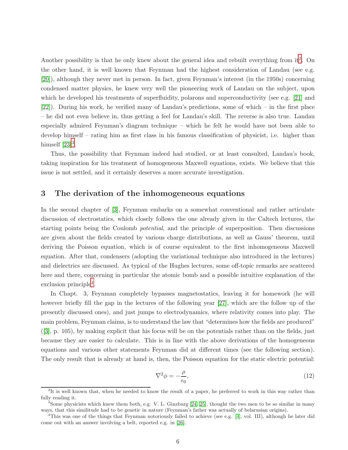Another possibility is that he only knew about the general idea and rebuilt everything from  $it^2$  $it^2$ . On the other hand, it is well known that Feynman had the highest consideration of Landau (see e.g. [\[20\]](#page-14-10)), although they never met in person. In fact, given Feynman's interest (in the 1950s) concerning condensed matter physics, he knew very well the pioneering work of Landau on the subject, upon which he developed his treatments of superfluidity, polarons and superconductivity (see e.g. [\[21\]](#page-14-11) and [\[22\]](#page-14-12)). During his work, he verified many of Landau's predictions, some of which – in the first place – he did not even believe in, thus getting a feel for Landau's skill. The reverse is also true. Landau especially admired Feynman's diagram technique – which he felt he would have not been able to develop himself – rating him as first class in his famous classification of physicist, i.e. higher than himself  $[23]^3$  $[23]^3$  $[23]^3$ .

Thus, the possibility that Feynman indeed had studied, or at least consulted, Landau's book, taking inspiration for his treatment of homogeneous Maxwell equations, exists. We believe that this issue is not settled, and it certainly deserves a more accurate investigation.

### <span id="page-5-0"></span>3 The derivation of the inhomogeneous equations

In the second chapter of [\[3\]](#page-13-2), Feynman embarks on a somewhat conventional and rather articulate discussion of electrostatics, which closely follows the one already given in the Caltech lectures, the starting points being the Coulomb *potential*, and the principle of superposition. Then discussions are given about the fields created by various charge distributions, as well as Gauss' theorem, until deriving the Poisson equation, which is of course equivalent to the first inhomogeneous Maxwell equation. After that, condensers (adopting the variational technique also introduced in the lectures) and dielectrics are discussed. As typical of the Hughes lectures, some off-topic remarks are scattered here and there, concerning in particular the atomic bomb and a possible intuitive explanation of the exclusion principle<sup>[4](#page-5-3)</sup>.

In Chapt. 3, Feynman completely bypasses magnetostatics, leaving it for homework (he will however briefly fill the gap in the lectures of the following year [\[27\]](#page-14-14), which are the follow up of the presently discussed ones), and just jumps to electrodynamics, where relativity comes into play. The main problem, Feynman claims, is to understand the law that "determines how the fields are produced" ([\[3\]](#page-13-2), p. 105), by making explicit that his focus will be on the potentials rather than on the fields, just because they are easier to calculate. This is in line with the above derivations of the homogeneous equations and various other statements Feynman did at different times (see the following section). The only result that is already at hand is, then, the Poisson equation for the static electric potential:

$$
\nabla^2 \phi = -\frac{\rho}{\epsilon_0},\tag{12}
$$

<span id="page-5-1"></span><sup>&</sup>lt;sup>2</sup>It is well known that, when he needed to know the result of a paper, he preferred to work in this way rather than fully reading it.

<span id="page-5-2"></span><sup>&</sup>lt;sup>3</sup> Some physicists which knew them both, e.g. V. L. Ginzburg [\[24,](#page-14-15) [25\]](#page-14-16), thought the two men to be so similar in many ways, that this similitude had to be genetic in nature (Feynman's father was actually of belarusian origins).

<span id="page-5-3"></span><sup>4</sup>This was one of the things that Feynman notoriously failed to achieve (see e.g. [\[4\]](#page-13-3), vol. III), although he later did come out with an answer involving a belt, reported e.g. in [\[26\]](#page-14-17).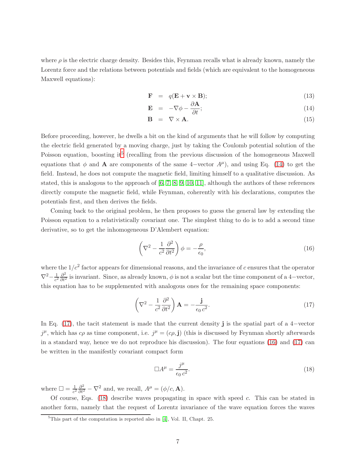where  $\rho$  is the electric charge density. Besides this, Feynman recalls what is already known, namely the Lorentz force and the relations between potentials and fields (which are equivalent to the homogeneous Maxwell equations):

∂A

<span id="page-6-1"></span>
$$
\mathbf{F} = q(\mathbf{E} + \mathbf{v} \times \mathbf{B});\tag{13}
$$

$$
\mathbf{E} = -\nabla \phi - \frac{\partial \mathbf{A}}{\partial t};\tag{14}
$$

$$
\mathbf{B} = \nabla \times \mathbf{A}.\tag{15}
$$

Before proceeding, however, he dwells a bit on the kind of arguments that he will follow by computing the electric field generated by a moving charge, just by taking the Coulomb potential solution of the Poisson equation, boosting it<sup>[5](#page-6-0)</sup> (recalling from the previous discussion of the homogeneous Maxwell equations that  $\phi$  and **A** are components of the same 4-vector  $A^{\mu}$ , and using Eq. [\(14\)](#page-6-1) to get the field. Instead, he does not compute the magnetic field, limiting himself to a qualitative discussion. As stated, this is analogous to the approach of  $[6, 7, 8, 9, 10, 11]$  $[6, 7, 8, 9, 10, 11]$  $[6, 7, 8, 9, 10, 11]$  $[6, 7, 8, 9, 10, 11]$  $[6, 7, 8, 9, 10, 11]$  $[6, 7, 8, 9, 10, 11]$ , although the authors of these references directly compute the magnetic field, while Feynman, coherently with his declarations, computes the potentials first, and then derives the fields.

Coming back to the original problem, he then proposes to guess the general law by extending the Poisson equation to a relativistically covariant one. The simplest thing to do is to add a second time derivative, so to get the inhomogeneous D'Alembert equation:

<span id="page-6-3"></span>
$$
\left(\nabla^2 - \frac{1}{c^2} \frac{\partial^2}{\partial t^2}\right)\phi = -\frac{\rho}{\epsilon_0},\tag{16}
$$

where the  $1/c^2$  factor appears for dimensional reasons, and the invariance of c ensures that the operator  $\nabla^2 - \frac{1}{c^2}$  $\frac{1}{c^2} \frac{\partial^2}{\partial t^2}$  is invariant. Since, as already known,  $\phi$  is not a scalar but the time component of a 4-vector, this equation has to be supplemented with analogous ones for the remaining space components:

<span id="page-6-2"></span>
$$
\left(\nabla^2 - \frac{1}{c^2} \frac{\partial^2}{\partial t^2}\right) \mathbf{A} = -\frac{\mathbf{j}}{\epsilon_0 c^2}.
$$
\n(17)

In Eq. [\(17\)](#page-6-2), the tacit statement is made that the current density j is the spatial part of a 4−vector  $j^{\mu}$ , which has  $c\rho$  as time component, i.e.  $j^{\mu} = (c\rho, \mathbf{j})$  (this is discussed by Feynman shortly afterwards in a standard way, hence we do not reproduce his discussion). The four equations [\(16\)](#page-6-3) and [\(17\)](#page-6-2) can be written in the manifestly covariant compact form

<span id="page-6-4"></span>
$$
\Box A^{\mu} = \frac{j^{\mu}}{\epsilon_0 c^2}.
$$
\n(18)

where  $\square = \frac{1}{c^2}$  $\frac{1}{c^2} \frac{\partial^2}{\partial t^2} - \nabla^2$  and, we recall,  $A^{\mu} = (\phi/c, \mathbf{A})$ .

Of course, Eqs.  $(18)$  describe waves propagating in space with speed c. This can be stated in another form, namely that the request of Lorentz invariance of the wave equation forces the waves

<span id="page-6-0"></span> ${}^{5}$ This part of the computation is reported also in [\[4\]](#page-13-3), Vol. II, Chapt. 25.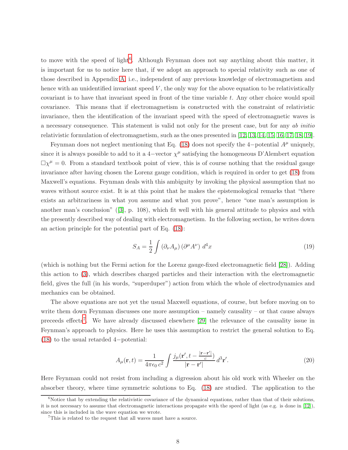to move with the speed of light<sup>[6](#page-7-0)</sup>. Although Feynman does not say anything about this matter, it is important for us to notice here that, if we adopt an approach to special relativity such as one of those described in Appendix [A,](#page-11-0) i.e., independent of any previous knowledge of electromagnetism and hence with an unidentified invariant speed  $V$ , the only way for the above equation to be relativistically covariant is to have that invariant speed in front of the time variable  $t$ . Any other choice would spoil covariance. This means that if electromagnetism is constructed with the constraint of relativistic invariance, then the identification of the invariant speed with the speed of electromagnetic waves is a necessary consequence. This statement is valid not only for the present case, but for any *ab initio* relativistic formulation of electromagnetism, such as the ones presented in [\[12,](#page-14-2) [13,](#page-14-3) [14,](#page-14-4) [15,](#page-14-5) [16,](#page-14-6) [17,](#page-14-7) [18,](#page-14-8) [19\]](#page-14-9).

Feynman does not neglect mentioning that Eq. [\(18\)](#page-6-4) does not specify the 4-potential  $A^{\mu}$  uniquely, since it is always possible to add to it a 4-vector  $\chi^{\mu}$  satisfying the homogeneous D'Alembert equation  $\Box \chi^{\mu} = 0$ . From a standard textbook point of view, this is of course nothing that the residual gauge invariance after having chosen the Lorenz gauge condition, which is required in order to get [\(18\)](#page-6-4) from Maxwell's equations. Feynman deals with this ambiguity by invoking the physical assumption that no waves without source exist. It is at this point that he makes the epistemological remarks that "there exists an arbitrariness in what you assume and what you prove", hence "one man's assumption is another man's conclusion" ([\[3\]](#page-13-2), p. 108), which fit well with his general attitude to physics and with the presently described way of dealing with electromagnetism. In the following section, he writes down an action principle for the potential part of Eq. [\(18\)](#page-6-4):

$$
S_A = \frac{1}{2} \int \left( \partial_\nu A_\mu \right) \left( \partial^\mu A^\nu \right) d^4 x \tag{19}
$$

(which is nothing but the Fermi action for the Lorenz gauge-fixed electromagnetic field [\[28\]](#page-14-18)). Adding this action to [\(3\)](#page-3-0), which describes charged particles and their interaction with the electromagnetic field, gives the full (in his words, "superduper") action from which the whole of electrodynamics and mechanics can be obtained.

The above equations are not yet the usual Maxwell equations, of course, but before moving on to write them down Feynman discusses one more assumption – namely causality – or that cause always preceeds effects<sup>[7](#page-7-1)</sup>. We have already discussed elsewhere [\[29\]](#page-15-0) the relevance of the causality issue in Feynman's approach to physics. Here he uses this assumption to restrict the general solution to Eq. [\(18\)](#page-6-4) to the usual retarded 4−potential:

<span id="page-7-2"></span>
$$
A_{\mu}(\mathbf{r},t) = \frac{1}{4\pi\epsilon_0 c^2} \int \frac{j_{\mu}(\mathbf{r}',t - \frac{|\mathbf{r} - \mathbf{r}'|}{c})}{|\mathbf{r} - \mathbf{r}'|} d^3 \mathbf{r}'.
$$
 (20)

Here Feynman could not resist from including a digression about his old work with Wheeler on the absorber theory, where time symmetric solutions to Eq. [\(18\)](#page-6-4) are studied. The application to the

<span id="page-7-0"></span> $6$ Notice that by extending the relativistic covariance of the dynamical equations, rather than that of their solutions, it is not necessary to assume that electromagnetic interactions propagate with the speed of light (as e.g. is done in [\[12\]](#page-14-2)), since this is included in the wave equation we wrote.

<span id="page-7-1"></span><sup>7</sup>This is related to the request that all waves must have a source.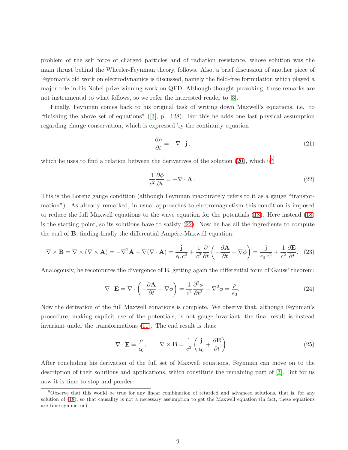problem of the self force of charged particles and of radiation resistance, whose solution was the main thrust behind the Wheeler-Feynman theory, follows. Also, a brief discussion of another piece of Feynman's old work on electrodynamics is discussed, namely the field-free formulation which played a major role in his Nobel prize winning work on QED. Although thought-provoking, these remarks are not instrumental to what follows, so we refer the interested reader to [\[3\]](#page-13-2).

Finally, Feynman comes back to his original task of writing down Maxwell's equations, i.e. to "finishing the above set of equations" ([\[3\]](#page-13-2), p. 128). For this he adds one last physical assumption regarding charge conservation, which is expressed by the continuity equation

$$
\frac{\partial \rho}{\partial t} = -\nabla \cdot \mathbf{j},\qquad(21)
$$

which he uses to find a relation between the derivatives of the solution [\(20\)](#page-7-2), which is<sup>[8](#page-8-0)</sup>

<span id="page-8-1"></span>
$$
\frac{1}{c^2} \frac{\partial \phi}{\partial t} = -\nabla \cdot \mathbf{A} \,. \tag{22}
$$

This is the Lorenz gauge condition (although Feynman inaccurately refers to it as a gauge "transformation"). As already remarked, in usual approaches to electromagnetism this condition is imposed to reduce the full Maxwell equations to the wave equation for the potentials [\(18\)](#page-6-4). Here instead [\(18\)](#page-6-4) is the starting point, so its solutions have to satisfy [\(22\)](#page-8-1). Now he has all the ingredients to compute the curl of  $B$ , finding finally the differential Ampére-Maxwell equation:

$$
\nabla \times \mathbf{B} = \nabla \times (\nabla \times \mathbf{A}) = -\nabla^2 \mathbf{A} + \nabla (\nabla \cdot \mathbf{A}) = \frac{\mathbf{j}}{\epsilon_0 c^2} + \frac{1}{c^2} \frac{\partial}{\partial t} \left( -\frac{\partial \mathbf{A}}{\partial t} - \nabla \phi \right) = \frac{\mathbf{j}}{\epsilon_0 c^2} + \frac{1}{c^2} \frac{\partial \mathbf{E}}{\partial t}.
$$
 (23)

Analogously, he recomputes the divergence of  $E$ , getting again the differential form of Gauss' theorem:

$$
\nabla \cdot \mathbf{E} = \nabla \cdot \left( -\frac{\partial \mathbf{A}}{\partial t} - \nabla \phi \right) = \frac{1}{c^2} \frac{\partial^2 \phi}{\partial t^2} - \nabla^2 \phi = \frac{\rho}{\epsilon_0}.
$$
 (24)

Now the derivation of the full Maxwell equations is complete. We observe that, although Feynman's procedure, making explicit use of the potentials, is not gauge invariant, the final result is instead invariant under the transformations [\(11\)](#page-4-2). The end result is thus:

$$
\nabla \cdot \mathbf{E} = \frac{\rho}{\epsilon_0}, \qquad \nabla \times \mathbf{B} = \frac{1}{c^2} \left( \frac{\mathbf{j}}{\epsilon_0} + \frac{\partial \mathbf{E}}{\partial t} \right). \tag{25}
$$

After concluding his derivation of the full set of Maxwell equations, Feynman can move on to the description of their solutions and applications, which constitute the remaining part of [\[3\]](#page-13-2). But for us now it is time to stop and ponder.

<span id="page-8-0"></span><sup>8</sup>Observe that this would be true for any linear combination of retarded and advanced solutions, that is, for any solution of [\(18\)](#page-6-4), so that causality is not a necessary assumption to get the Maxwell equation (in fact, these equations are time-symmetric).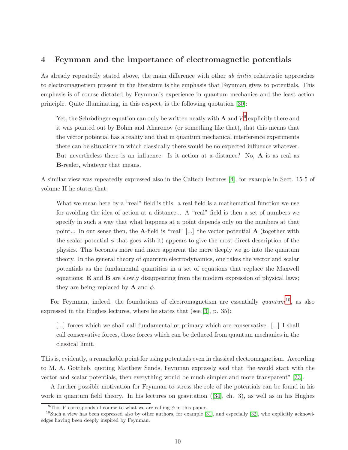# <span id="page-9-0"></span>4 Feynman and the importance of electromagnetic potentials

As already repeatedly stated above, the main difference with other *ab initio* relativistic approaches to electromagnetism present in the literature is the emphasis that Feynman gives to potentials. This emphasis is of course dictated by Feynman's experience in quantum mechanics and the least action principle. Quite illuminating, in this respect, is the following quotation [\[30\]](#page-15-1):

Yet, the Schrödinger equation can only be written neatly with **A** and  $V^9$  $V^9$  explicitly there and it was pointed out by Bohm and Aharonov (or something like that), that this means that the vector potential has a reality and that in quantum mechanical interference experiments there can be situations in which classically there would be no expected influence whatever. But nevertheless there is an influence. Is it action at a distance? No, A is as real as B-realer, whatever that means.

A similar view was repeatedly expressed also in the Caltech lectures [\[4\]](#page-13-3), for example in Sect. 15-5 of volume II he states that:

What we mean here by a "real" field is this: a real field is a mathematical function we use for avoiding the idea of action at a distance... A "real" field is then a set of numbers we specify in such a way that what happens at a point depends only on the numbers at that point... In our sense then, the A-field is "real" [...] the vector potential A (together with the scalar potential  $\phi$  that goes with it) appears to give the most direct description of the physics. This becomes more and more apparent the more deeply we go into the quantum theory. In the general theory of quantum electrodynamics, one takes the vector and scalar potentials as the fundamental quantities in a set of equations that replace the Maxwell equations: E and B are slowly disappearing from the modern expression of physical laws; they are being replaced by **A** and  $\phi$ .

For Feynman, indeed, the foundations of electromagnetism are essentially *quantum*[10](#page-9-2), as also expressed in the Hughes lectures, where he states that (see [\[3\]](#page-13-2), p. 35):

[...] forces which we shall call fundamental or primary which are conservative. [...] I shall call conservative forces, those forces which can be deduced from quantum mechanics in the classical limit.

This is, evidently, a remarkable point for using potentials even in classical electromagnetism. According to M. A. Gottlieb, quoting Matthew Sands, Feynman expressly said that "he would start with the vector and scalar potentials, then everything would be much simpler and more transparent" [\[33\]](#page-15-2).

A further possible motivation for Feynman to stress the role of the potentials can be found in his work in quantum field theory. In his lectures on gravitation ([\[34\]](#page-15-3), ch. 3), as well as in his Hughes

<span id="page-9-1"></span><sup>&</sup>lt;sup>9</sup>This *V* corresponds of course to what we are calling  $\phi$  in this paper.

<span id="page-9-2"></span> $10S$ uch a view has been expressed also by other authors, for example [\[31\]](#page-15-4), and especially [\[32\]](#page-15-5), who explicitly acknowledges having been deeply inspired by Feynman.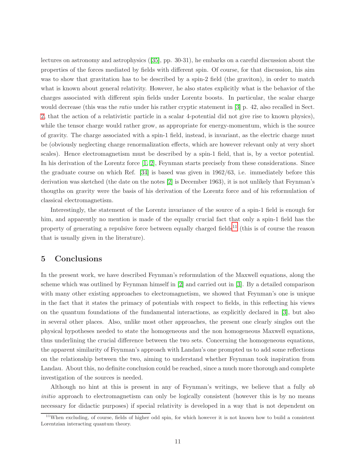lectures on astronomy and astrophysics ([\[35\]](#page-15-6), pp. 30-31), he embarks on a careful discussion about the properties of the forces mediated by fields with different spin. Of course, for that discussion, his aim was to show that gravitation has to be described by a spin-2 field (the graviton), in order to match what is known about general relativity. However, he also states explicitly what is the behavior of the charges associated with different spin fields under Lorentz boosts. In particular, the scalar charge would decrease (this was the *ratio* under his rather cryptic statement in [\[3\]](#page-13-2) p. 42, also recalled in Sect. [2,](#page-2-0) that the action of a relativistic particle in a scalar 4-potential did not give rise to known physics), while the tensor charge would rather grow, as appropriate for energy-momentum, which is the source of gravity. The charge associated with a spin-1 field, instead, is invariant, as the electric charge must be (obviously neglecting charge renormalization effects, which are however relevant only at very short scales). Hence electromagnetism must be described by a spin-1 field, that is, by a vector potential. In his derivation of the Lorentz force [\[1,](#page-13-0) [2\]](#page-13-1), Feynman starts precisely from these considerations. Since the graduate course on which Ref. [\[34\]](#page-15-3) is based was given in 1962/63, i.e. immediately before this derivation was sketched (the date on the notes [\[2\]](#page-13-1) is December 1963), it is not unlikely that Feynman's thougths on gravity were the basis of his derivation of the Lorentz force and of his reformulation of classical electromagnetism.

Interestingly, the statement of the Lorentz invariance of the source of a spin-1 field is enough for him, and apparently no mention is made of the equally crucial fact that only a spin-1 field has the property of generating a repulsive force between equally charged fields<sup>[11](#page-10-0)</sup> (this is of course the reason that is usually given in the literature).

## 5 Conclusions

In the present work, we have described Feynman's reformulation of the Maxwell equations, along the scheme which was outlined by Feynman himself in [\[2\]](#page-13-1) and carried out in [\[3\]](#page-13-2). By a detailed comparison with many other existing approaches to electromagnetism, we showed that Feynman's one is unique in the fact that it states the primacy of potentials with respect to fields, in this reflecting his views on the quantum foundations of the fundamental interactions, as explicitly declared in [\[3\]](#page-13-2), but also in several other places. Also, unlike most other approaches, the present one clearly singles out the physical hypotheses needed to state the homogeneous and the non homogeneous Maxwell equations, thus underlining the crucial difference between the two sets. Concerning the homogeneous equations, the apparent similarity of Feynman's approach with Landau's one prompted us to add some reflections on the relationship between the two, aiming to understand whether Feynman took inspiration from Landau. About this, no definite conclusion could be reached, since a much more thorough and complete investigation of the sources is needed.

Although no hint at this is present in any of Feynman's writings, we believe that a fully *ab initio* approach to electromagnetism can only be logically consistent (however this is by no means necessary for didactic purposes) if special relativity is developed in a way that is not dependent on

<span id="page-10-0"></span><sup>&</sup>lt;sup>11</sup>When excluding, of course, fields of higher odd spin, for which however it is not known how to build a consistent Lorentzian interacting quantum theory.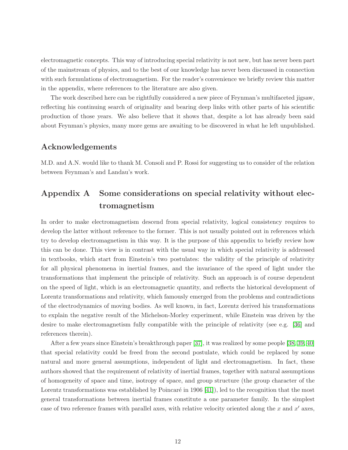electromagnetic concepts. This way of introducing special relativity is not new, but has never been part of the mainstream of physics, and to the best of our knowledge has never been discussed in connection with such formulations of electromagnetism. For the reader's convenience we briefly review this matter in the appendix, where references to the literature are also given.

The work described here can be rightfully considered a new piece of Feynman's multifaceted jigsaw, reflecting his continuing search of originality and bearing deep links with other parts of his scientific production of those years. We also believe that it shows that, despite a lot has already been said about Feynman's physics, many more gems are awaiting to be discovered in what he left unpublished.

### Acknowledgements

M.D. and A.N. would like to thank M. Consoli and P. Rossi for suggesting us to consider of the relation between Feynman's and Landau's work.

# <span id="page-11-0"></span>Appendix A Some considerations on special relativity without electromagnetism

In order to make electromagnetism descend from special relativity, logical consistency requires to develop the latter without reference to the former. This is not usually pointed out in references which try to develop electromagnetism in this way. It is the purpose of this appendix to briefly review how this can be done. This view is in contrast with the usual way in which special relativity is addressed in textbooks, which start from Einstein's two postulates: the validity of the principle of relativity for all physical phenomena in inertial frames, and the invariance of the speed of light under the transformations that implement the principle of relativity. Such an approach is of course dependent on the speed of light, which is an electromagnetic quantity, and reflects the historical development of Lorentz transformations and relativity, which famously emerged from the problems and contradictions of the electrodynamics of moving bodies. As well known, in fact, Lorentz derived his transformations to explain the negative result of the Michelson-Morley experiment, while Einstein was driven by the desire to make electromagnetism fully compatible with the principle of relativity (see e.g. [\[36\]](#page-15-7) and references therein).

After a few years since Einstein's breakthrough paper [\[37\]](#page-15-8), it was realized by some people [\[38,](#page-15-9) [39,](#page-15-10) [40\]](#page-15-11) that special relativity could be freed from the second postulate, which could be replaced by some natural and more general assumptions, independent of light and electromagnetism. In fact, these authors showed that the requirement of relativity of inertial frames, together with natural assumptions of homogeneity of space and time, isotropy of space, and group structure (the group character of the Lorentz transformations was established by Poincaré in  $1906$  [\[41\]](#page-15-12)), led to the recognition that the most general transformations between inertial frames constitute a one parameter family. In the simplest case of two reference frames with parallel axes, with relative velocity oriented along the  $x$  and  $x'$  axes,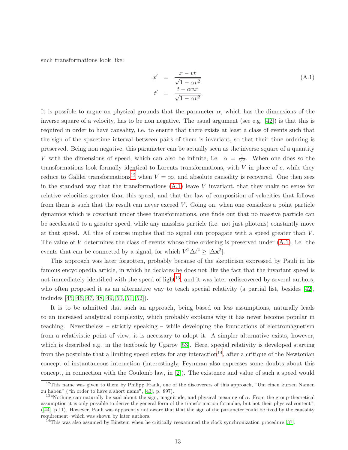such transformations look like:

<span id="page-12-1"></span>
$$
x' = \frac{x - vt}{\sqrt{1 - \alpha v^2}}
$$
  
\n
$$
t' = \frac{t - \alpha vx}{\sqrt{1 - \alpha v^2}}
$$
\n(A.1)

It is possible to argue on physical grounds that the parameter  $\alpha$ , which has the dimensions of the inverse square of a velocity, has to be non negative. The usual argument (see e.g. [\[42\]](#page-15-13)) is that this is required in order to have causality, i.e. to ensure that there exists at least a class of events such that the sign of the spacetime interval between pairs of them is invariant, so that their time ordering is preserved. Being non negative, this parameter can be actually seen as the inverse square of a quantity V with the dimensions of speed, which can also be infinite, i.e.  $\alpha = \frac{1}{V^2}$ . When one does so the transformations look formally identical to Lorentz transformations, with  $V$  in place of  $c$ , while they reduce to Galilei transformations<sup>[12](#page-12-0)</sup> when  $V = \infty$ , and absolute causality is recovered. One then sees in the standard way that the transformations  $(A.1)$  leave V invariant, that they make no sense for relative velocities greater than this speed, and that the law of composition of velocities that follows from them is such that the result can never exceed  $V$ . Going on, when one considers a point particle dynamics which is covariant under these transformations, one finds out that no massive particle can be accelerated to a greater speed, while any massless particle (i.e. not just photons) constantly move at that speed. All this of course implies that no signal can propagate with a speed greater than V . The value of V determines the class of events whose time ordering is preserved under  $(A.1)$ , i.e. the events that can be connected by a signal, for which  $V^2 \Delta t^2 \ge |\Delta \mathbf{x}^2|$ .

This approach was later forgotten, probably because of the skepticism expressed by Pauli in his famous encyclopedia article, in which he declares he does not like the fact that the invariant speed is not immediately identified with the speed of light<sup>[13](#page-12-2)</sup>, and it was later rediscovered by several authors, who often proposed it as an alternative way to teach special relativity (a partial list, besides [\[42\]](#page-15-13), includes [\[45,](#page-16-0) [46,](#page-16-1) [47,](#page-16-2) [48,](#page-16-3) [49,](#page-16-4) [50,](#page-16-5) [51,](#page-16-6) [52\]](#page-16-7)).

It is to be admitted that such an approach, being based on less assumptions, naturally leads to an increased analytical complexity, which probably explains why it has never become popular in teaching. Nevertheless – strictly speaking – while developing the foundations of electromagnetism from a relativistic point of view, it is necessary to adopt it. A simpler alternative exists, however, which is described e.g. in the textbook by Ugarov [\[53\]](#page-16-8). Here, special relativity is developed starting from the postulate that a limiting speed exists for any interaction<sup>[14](#page-12-3)</sup>, after a critique of the Newtonian concept of instantaneous interaction (interestingly, Feynman also expresses some doubts about this concept, in connection with the Coulomb law, in [\[2\]](#page-13-1)). The existence and value of such a speed would

<span id="page-12-0"></span><sup>&</sup>lt;sup>12</sup>This name was given to them by Philipp Frank, one of the discoverers of this approach, "Um einen kurzen Namen zu haben" ("in order to have a short name", [\[43\]](#page-15-14), p. 897).

<span id="page-12-2"></span><sup>&</sup>lt;sup>13</sup>"Nothing can naturally be said about the sign, magnitude, and physical meaning of  $\alpha$ . From the group-theoretical assumption it is only possible to derive the general form of the transformation formulae, but not their physical content", ([\[44\]](#page-15-15), p.11). However, Pauli was apparently not aware that that the sign of the parameter could be fixed by the causality requirement, which was shown by later authors.

<span id="page-12-3"></span> $14$ This was also assumed by Einstein when he critically reexamined the clock synchronization procedure [\[37\]](#page-15-8).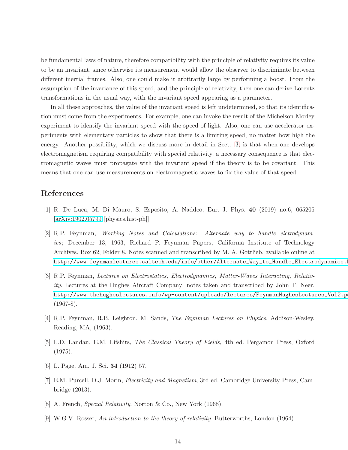be fundamental laws of nature, therefore compatibility with the principle of relativity requires its value to be an invariant, since otherwise its measurement would allow the observer to discriminate between different inertial frames. Also, one could make it arbitrarily large by performing a boost. From the assumption of the invariance of this speed, and the principle of relativity, then one can derive Lorentz transformations in the usual way, with the invariant speed appearing as a parameter.

In all these approaches, the value of the invariant speed is left undetermined, so that its identification must come from the experiments. For example, one can invoke the result of the Michelson-Morley experiment to identify the invariant speed with the speed of light. Also, one can use accelerator experiments with elementary particles to show that there is a limiting speed, no matter how high the energy. Another possibility, which we discuss more in detail in Sect. [3,](#page-5-0) is that when one develops electromagnetism requiring compatibility with special relativity, a necessary consequence is that electromagnetic waves must propagate with the invariant speed if the theory is to be covariant. This means that one can use measurements on electromagnetic waves to fix the value of that speed.

## <span id="page-13-0"></span>References

- <span id="page-13-1"></span>[1] R. De Luca, M. Di Mauro, S. Esposito, A. Naddeo, Eur. J. Phys. 40 (2019) no.6, 065205 [\[arXiv:1902.05799](http://arxiv.org/abs/1902.05799) [physics.hist-ph]].
- [2] R.P. Feynman, *Working Notes and Calculations: Alternate way to handle elctrodynamics*; December 13, 1963, Richard P. Feynman Papers, California Institute of Technology Archives, Box 62, Folder 8. Notes scanned and transcribed by M. A. Gottlieb, available online at [http://www.feynmanlectures.caltech.edu/info/other/Alternate\\_Way\\_to\\_Handle\\_Electrodynamics.html](http://www.feynmanlectures.caltech.edu/info/other/Alternate_Way_to_Handle_Electrodynamics.html)
- <span id="page-13-2"></span>[3] R.P. Feynman, *Lectures on Electrostatics, Electrodynamics, Matter-Waves Interacting, Relativity*. Lectures at the Hughes Aircraft Company; notes taken and transcribed by John T. Neer, http://www.thehugheslectures.info/wp-content/uploads/lectures/FeynmanHughesLectures\_Vol2.p  $(1967-8).$
- <span id="page-13-4"></span><span id="page-13-3"></span>[4] R.P. Feynman, R.B. Leighton, M. Sands, *The Feynman Lectures on Physics*. Addison-Wesley, Reading, MA, (1963).
- <span id="page-13-5"></span>[5] L.D. Landau, E.M. Lifshits, *The Classical Theory of Fields*, 4th ed. Pergamon Press, Oxford (1975).
- <span id="page-13-6"></span>[6] L. Page, Am. J. Sci. 34 (1912) 57.
- <span id="page-13-7"></span>[7] E.M. Purcell, D.J. Morin, *Electricity and Magnetism*, 3rd ed. Cambridge University Press, Cambridge (2013).
- <span id="page-13-8"></span>[8] A. French, *Special Relativity*. Norton & Co., New York (1968).
- [9] W.G.V. Rosser, *An introduction to the theory of relativity*. Butterworths, London (1964).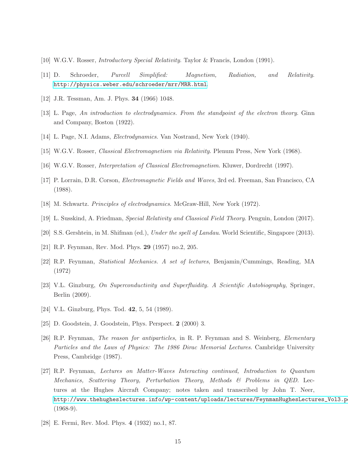- <span id="page-14-1"></span><span id="page-14-0"></span>[10] W.G.V. Rosser, *Introductory Special Relativity*. Taylor & Francis, London (1991).
- <span id="page-14-2"></span>[11] D. Schroeder, *Purcell Simplified: Magnetism, Radiation, and Relativity*. <http://physics.weber.edu/schroeder/mrr/MRR.html>.
- <span id="page-14-3"></span>[12] J.R. Tessman, Am. J. Phys. 34 (1966) 1048.
- <span id="page-14-4"></span>[13] L. Page, *An introduction to electrodynamics. From the standpoint of the electron theory*. Ginn and Company, Boston (1922).
- <span id="page-14-5"></span>[14] L. Page, N.I. Adams, *Electrodynamics*. Van Nostrand, New York (1940).
- <span id="page-14-6"></span>[15] W.G.V. Rosser, *Classical Electromagnetism via Relativity*. Plenum Press, New York (1968).
- <span id="page-14-7"></span>[16] W.G.V. Rosser, *Interpretation of Classical Electromagnetism*. Kluwer, Dordrecht (1997).
- <span id="page-14-8"></span>[17] P. Lorrain, D.R. Corson, *Electromagnetic Fields and Waves*, 3rd ed. Freeman, San Francisco, CA (1988).
- <span id="page-14-9"></span>[18] M. Schwartz. *Principles of electrodynamics*. McGraw-Hill, New York (1972).
- <span id="page-14-10"></span>[19] L. Susskind, A. Friedman, *Special Relativity and Classical Field Theory*. Penguin, London (2017).
- <span id="page-14-11"></span>[20] S.S. Gershtein, in M. Shifman (ed.), *Under the spell of Landau*. World Scientific, Singapore (2013).
- <span id="page-14-12"></span>[21] R.P. Feynman, Rev. Mod. Phys. 29 (1957) no.2, 205.
- <span id="page-14-13"></span>[22] R.P. Feynman, *Statistical Mechanics. A set of lectures*, Benjamin/Cummings, Reading, MA (1972)
- <span id="page-14-15"></span>[23] V.L. Ginzburg, *On Superconductivity and Superfluidity. A Scientific Autobiography*, Springer, Berlin (2009).
- <span id="page-14-16"></span>[24] V.L. Ginzburg, Phys. Tod. **42**, 5, 54 (1989).
- <span id="page-14-17"></span>[25] D. Goodstein, J. Goodstein, Phys. Perspect. 2 (2000) 3.
- [26] R.P. Feynman, *The reason for antiparticles*, in R. P. Feynman and S. Weinberg, *Elementary Particles and the Laws of Physics: The 1986 Dirac Memorial Lectures*. Cambridge University Press, Cambridge (1987).
- <span id="page-14-14"></span>[27] R.P. Feynman, *Lectures on Matter-Waves Interacting continued, Introduction to Quantum Mechanics, Scattering Theory, Perturbation Theory, Methods & Problems in QED*. Lectures at the Hughes Aircraft Company; notes taken and transcribed by John T. Neer, http://www.thehugheslectures.info/wp-content/uploads/lectures/FeynmanHughesLectures\_Vol3.p  $(1968-9).$
- <span id="page-14-18"></span>[28] E. Fermi, Rev. Mod. Phys. 4 (1932) no.1, 87.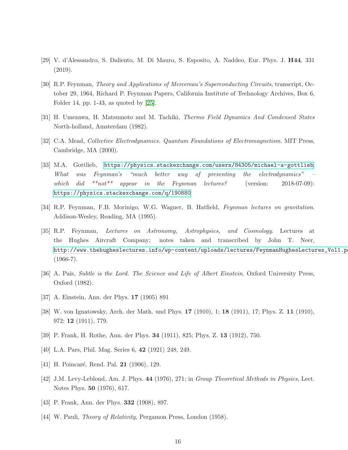- <span id="page-15-1"></span><span id="page-15-0"></span>[29] V. d'Alessandro, S. Daliento, M. Di Mauro, S. Esposito, A. Naddeo, Eur. Phys. J. H44, 331 (2019).
- [30] R.P. Feynman, *Theory and Applications of Mercereau's Superconducting Circuits*, transcript, October 29, 1964, Richard P. Feynman Papers, California Institute of Technology Archives, Box 6, Folder 14, pp. 1-43, as quoted by [\[25\]](#page-14-16).
- <span id="page-15-5"></span><span id="page-15-4"></span>[31] H. Umezawa, H. Matsumoto and M. Tachiki, *Thermo Field Dynamics And Condensed States* North-holland, Amsterdam (1982).
- <span id="page-15-2"></span>[32] C.A. Mead, *Collective Electrodynamics. Quantum Foundations of Electromagnetism*. MIT Press, Cambridge, MA (2000).
- [33] M.A. Gottlieb, <https://physics.stackexchange.com/users/84305/michael-a-gottlieb>, *What was Feynman's "much better way of presenting the electrodynamics" – which did \*\*not\*\* appear in the Feynman lectures?* (version: 2018-07-09): <https://physics.stackexchange.com/q/190880>
- <span id="page-15-6"></span><span id="page-15-3"></span>[34] R.P. Feynman, F.B. Morinigo, W.G. Wagner, B. Hatfield, *Feynman lectures on gravitation*. Addison-Wesley, Reading, MA (1995).
- [35] R.P. Feynman, *Lectures on Astronomy, Astrophysics, and Cosmology*. Lectures at the Hughes Aircraft Company; notes taken and transcribed by John T. Neer, http://www.thehugheslectures.info/wp-content/uploads/lectures/FeynmanHughesLectures\_Vol1.p  $(1966-7)$ .
- <span id="page-15-8"></span><span id="page-15-7"></span>[36] A. Pais, *Subtle is the Lord. The Science and Life of Albert Einstein*. Oxford University Press, Oxford (1982).
- <span id="page-15-9"></span>[37] A. Einstein, Ann. der Phys. 17 (1905) 891
- <span id="page-15-10"></span>[38] W. von Ignatowsky, Arch. der Math. und Phys. 17 (1910), 1; 18 (1911), 17; Phys. Z. 11 (1910), 972; 12 (1911), 779.
- <span id="page-15-11"></span>[39] P. Frank, H. Rothe, Ann. der Phys. 34 (1911), 825; Phys. Z. 13 (1912), 750.
- <span id="page-15-12"></span>[40] L.A. Pars, Phil. Mag. Series 6, 42 (1921) 248, 249.
- <span id="page-15-13"></span>[41] H. Poincaré, Rend. Pal. **21** (1906), 129.
- <span id="page-15-14"></span>[42] J.M. Levy-Leblond, Am. J. Phys. 44 (1976), 271; in *Group Theoretical Methods in Physics*, Lect. Notes Phys. 50 (1976), 617.
- <span id="page-15-15"></span>[43] P. Frank, Ann. der Phys. 332 (1908), 897.
- [44] W. Pauli, *Theory of Relativity*, Pergamon Press, London (1958).